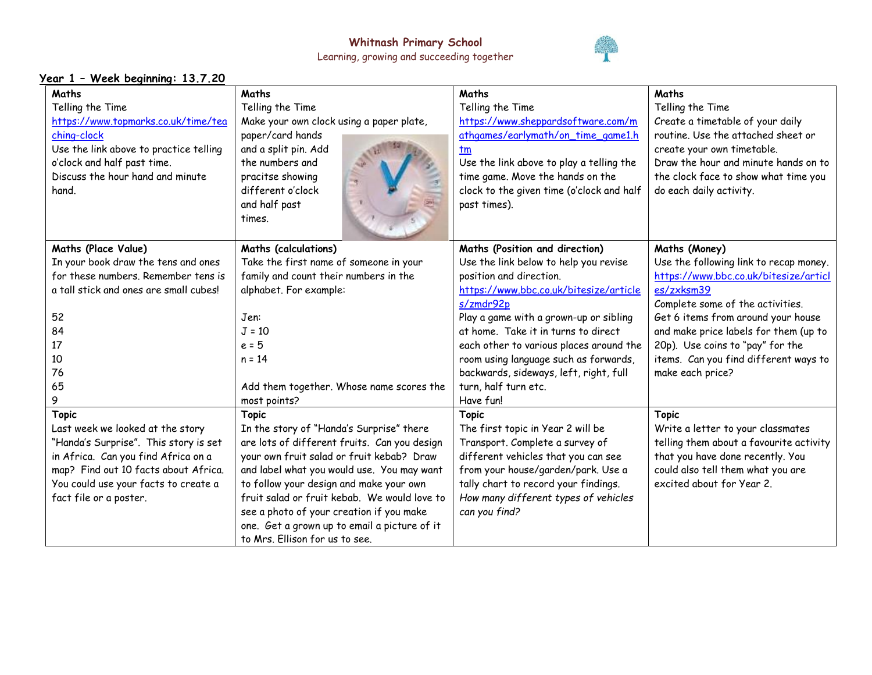

| <u> Year 1 - Week beginning: 13.7.20</u> |                                              |                                           |                                         |  |  |
|------------------------------------------|----------------------------------------------|-------------------------------------------|-----------------------------------------|--|--|
| Maths                                    | Maths                                        | Maths                                     | Maths                                   |  |  |
| Telling the Time                         | Telling the Time                             | Telling the Time                          | Telling the Time                        |  |  |
| https://www.topmarks.co.uk/time/tea      | Make your own clock using a paper plate,     | https://www.sheppardsoftware.com/m        | Create a timetable of your daily        |  |  |
| ching-clock                              | paper/card hands                             | athgames/earlymath/on_time_game1.h        | routine. Use the attached sheet or      |  |  |
| Use the link above to practice telling   | and a split pin. Add                         | tm                                        | create your own timetable.              |  |  |
| o'clock and half past time.              | the numbers and                              | Use the link above to play a telling the  | Draw the hour and minute hands on to    |  |  |
| Discuss the hour hand and minute         | pracitse showing                             | time game. Move the hands on the          | the clock face to show what time you    |  |  |
| hand.                                    | different o'clock                            | clock to the given time (o'clock and half | do each daily activity.                 |  |  |
|                                          | and half past                                | past times).                              |                                         |  |  |
|                                          | times.                                       |                                           |                                         |  |  |
|                                          |                                              |                                           |                                         |  |  |
| <b>Maths (Place Value)</b>               | <b>Maths (calculations)</b>                  | Maths (Position and direction)            | Maths (Money)                           |  |  |
| In your book draw the tens and ones      | Take the first name of someone in your       | Use the link below to help you revise     | Use the following link to recap money.  |  |  |
| for these numbers. Remember tens is      | family and count their numbers in the        | position and direction.                   | https://www.bbc.co.uk/bitesize/articl   |  |  |
| a tall stick and ones are small cubes!   | alphabet. For example:                       | https://www.bbc.co.uk/bitesize/article    | es/zxksm39                              |  |  |
|                                          |                                              | s/zmdr92p                                 | Complete some of the activities.        |  |  |
| 52                                       | Jen:                                         | Play a game with a grown-up or sibling    | Get 6 items from around your house      |  |  |
| 84                                       | $J = 10$                                     | at home. Take it in turns to direct       | and make price labels for them (up to   |  |  |
| 17                                       | $e = 5$                                      | each other to various places around the   | 20p). Use coins to "pay" for the        |  |  |
| 10                                       | $n = 14$                                     | room using language such as forwards,     | items. Can you find different ways to   |  |  |
| 76                                       |                                              | backwards, sideways, left, right, full    | make each price?                        |  |  |
| 65                                       | Add them together. Whose name scores the     | turn, half turn etc.                      |                                         |  |  |
| 9                                        | most points?                                 | Have fun!                                 |                                         |  |  |
| <b>Topic</b>                             | <b>Topic</b>                                 | <b>Topic</b>                              | <b>Topic</b>                            |  |  |
| Last week we looked at the story         | In the story of "Handa's Surprise" there     | The first topic in Year 2 will be         | Write a letter to your classmates       |  |  |
| "Handa's Surprise". This story is set    | are lots of different fruits. Can you design | Transport. Complete a survey of           | telling them about a favourite activity |  |  |
| in Africa. Can you find Africa on a      | your own fruit salad or fruit kebab? Draw    | different vehicles that you can see       | that you have done recently. You        |  |  |
| map? Find out 10 facts about Africa.     | and label what you would use. You may want   | from your house/garden/park. Use a        | could also tell them what you are       |  |  |
| You could use your facts to create a     | to follow your design and make your own      | tally chart to record your findings.      | excited about for Year 2.               |  |  |
| fact file or a poster.                   | fruit salad or fruit kebab. We would love to | How many different types of vehicles      |                                         |  |  |
|                                          | see a photo of your creation if you make     | can you find?                             |                                         |  |  |
|                                          | one. Get a grown up to email a picture of it |                                           |                                         |  |  |
|                                          | to Mrs. Ellison for us to see.               |                                           |                                         |  |  |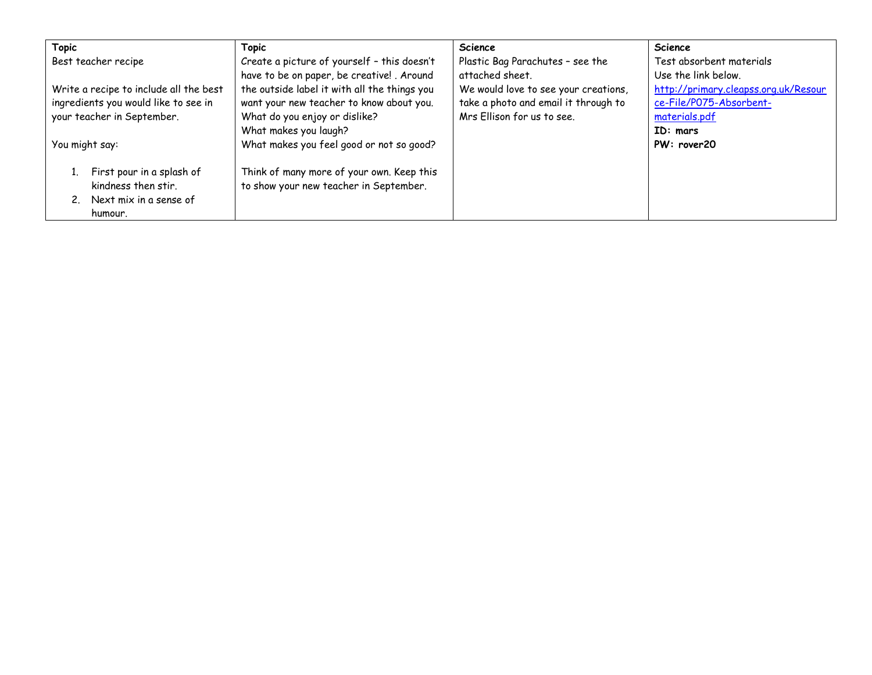| <b>Topic</b>                           | <b>Topic</b>                                 | <b>Science</b>                       | Science                              |
|----------------------------------------|----------------------------------------------|--------------------------------------|--------------------------------------|
| Best teacher recipe                    | Create a picture of yourself - this doesn't  | Plastic Bag Parachutes - see the     | Test absorbent materials             |
|                                        | have to be on paper, be creative! . Around   | attached sheet.                      | Use the link below.                  |
| Write a recipe to include all the best | the outside label it with all the things you | We would love to see your creations, | http://primary.cleapss.org.uk/Resour |
| ingredients you would like to see in   | want your new teacher to know about you.     | take a photo and email it through to | ce-File/P075-Absorbent-              |
| your teacher in September.             | What do you enjoy or dislike?                | Mrs Ellison for us to see.           | materials.pdf                        |
|                                        | What makes you laugh?                        |                                      | ID: mars                             |
| You might say:                         | What makes you feel good or not so good?     |                                      | PW: rover20                          |
|                                        |                                              |                                      |                                      |
| First pour in a splash of              | Think of many more of your own. Keep this    |                                      |                                      |
| kindness then stir.                    | to show your new teacher in September.       |                                      |                                      |
| 2. Next mix in a sense of              |                                              |                                      |                                      |
| humour.                                |                                              |                                      |                                      |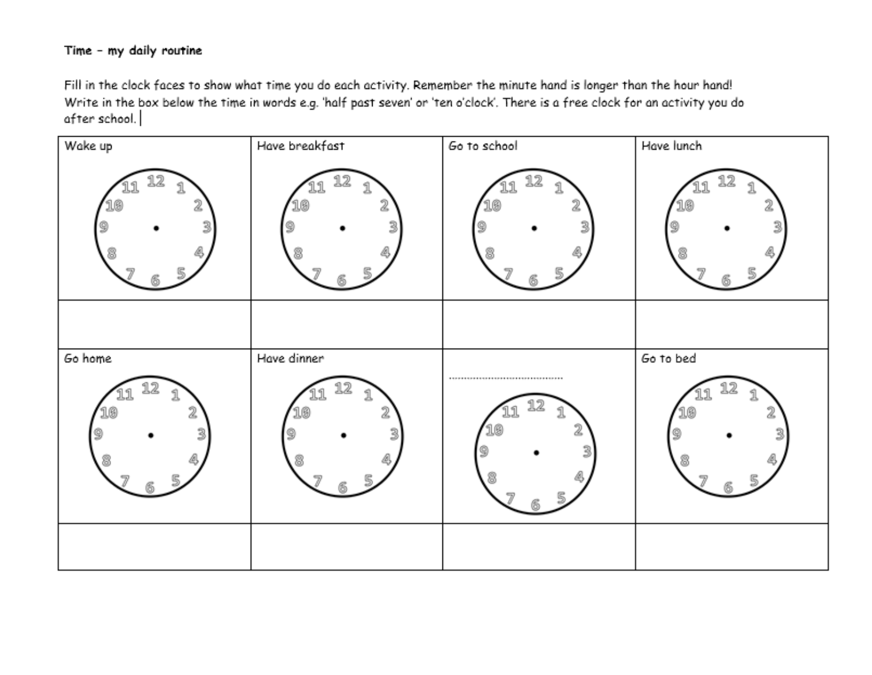## Time - my daily routine

Fill in the clock faces to show what time you do each activity. Remember the minute hand is longer than the hour hand! Write in the box below the time in words e.g. 'half past seven' or 'ten o'clock'. There is a free clock for an activity you do after school.

| Wake up | Have breakfast | Go to school | Have lunch |
|---------|----------------|--------------|------------|
|         | 3              | 3            | ä.<br>З    |
|         |                |              |            |
| Go home | Have dinner    |              | Go to bed  |
|         | 54             | 73           | 86         |
|         |                |              |            |